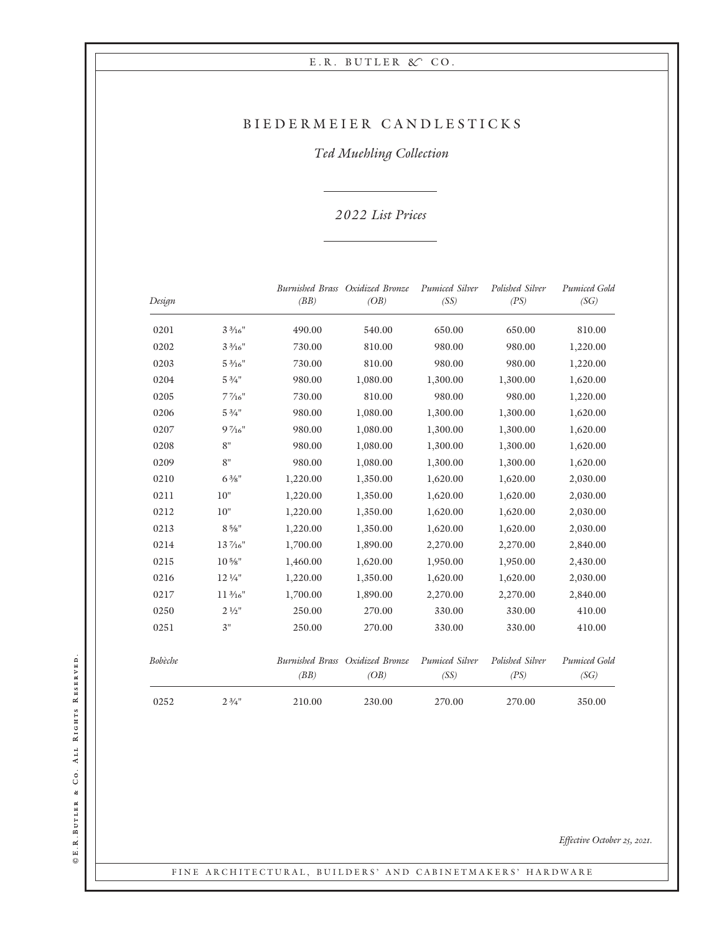## BIEDERMEIER CANDLESTICKS

Ted Muehling Collection

#### 022 List Prices

| Design  |                     | (BB)     | Burnished Brass Oxidized Bronze<br>(OB) | Pumiced Silver<br>(SS) | Polished Silver<br>(PS) | Pumiced Gold<br>(SG) |
|---------|---------------------|----------|-----------------------------------------|------------------------|-------------------------|----------------------|
| 0201    | $3\frac{3}{16}$ "   | 490.00   | 540.00                                  | 650.00                 | 650.00                  | 810.00               |
| 0202    | $3\frac{3}{16}$ "   | 730.00   | 810.00                                  | 980.00                 | 980.00                  | 1,220.00             |
| 0203    | $5\frac{3}{16}$ "   | 730.00   | 810.00                                  | 980.00                 | 980.00                  | 1,220.00             |
| 0204    | $5\frac{3}{4}$ "    | 980.00   | 1,080.00                                | 1,300.00               | 1,300.00                | 1,620.00             |
| 0205    | $7\,\frac{7}{16}$ " | 730.00   | 810.00                                  | 980.00                 | 980.00                  | 1,220.00             |
| 0206    | $5\frac{3}{4}$ "    | 980.00   | 1,080.00                                | 1,300.00               | 1,300.00                | 1,620.00             |
| 0207    | $9\frac{7}{16}$ "   | 980.00   | 1,080.00                                | 1,300.00               | 1,300.00                | 1,620.00             |
| 0208    | 8"                  | 980.00   | 1,080.00                                | 1,300.00               | 1,300.00                | 1,620.00             |
| 0209    | 8"                  | 980.00   | 1,080.00                                | 1,300.00               | 1,300.00                | 1,620.00             |
| 0210    | $6\frac{3}{8}$ "    | 1,220.00 | 1,350.00                                | 1,620.00               | 1,620.00                | 2,030.00             |
| 0211    | 10"                 | 1,220.00 | 1,350.00                                | 1,620.00               | 1,620.00                | 2,030.00             |
| 0212    | 10"                 | 1,220.00 | 1,350.00                                | 1,620.00               | 1,620.00                | 2,030.00             |
| 0213    | $8.5\frac{1}{8}$ "  | 1,220.00 | 1,350.00                                | 1,620.00               | 1,620.00                | 2,030.00             |
| 0214    | 13 %6"              | 1,700.00 | 1,890.00                                | 2,270.00               | 2,270.00                | 2,840.00             |
| 0215    | $10\,\frac{5}{8}$ " | 1,460.00 | 1,620.00                                | 1,950.00               | 1,950.00                | 2,430.00             |
| 0216    | 12 1/4"             | 1,220.00 | 1,350.00                                | 1,620.00               | 1,620.00                | 2,030.00             |
| 0217    | $11\frac{3}{16}$ "  | 1,700.00 | 1,890.00                                | 2,270.00               | 2,270.00                | 2,840.00             |
| 0250    | $2\frac{1}{2}$ "    | 250.00   | 270.00                                  | 330.00                 | 330.00                  | 410.00               |
| 0251    | 3"                  | 250.00   | 270.00                                  | 330.00                 | 330.00                  | 410.00               |
| Bobèche |                     | (BB)     | Burnished Brass Oxidized Bronze<br>(OB) | Pumiced Silver<br>(SS) | Polished Silver<br>(PS) | Pumiced Gold<br>(SG) |
| 0252    | $2\frac{3}{4}$ "    | 210.00   | 230.00                                  | 270.00                 | 270.00                  | 350.00               |

©E.R.BUTLER & CO. ALL RIGHTS RESERVED. E.R.Butler & Co. All Rights Reserved.

Effective October 25, 2021.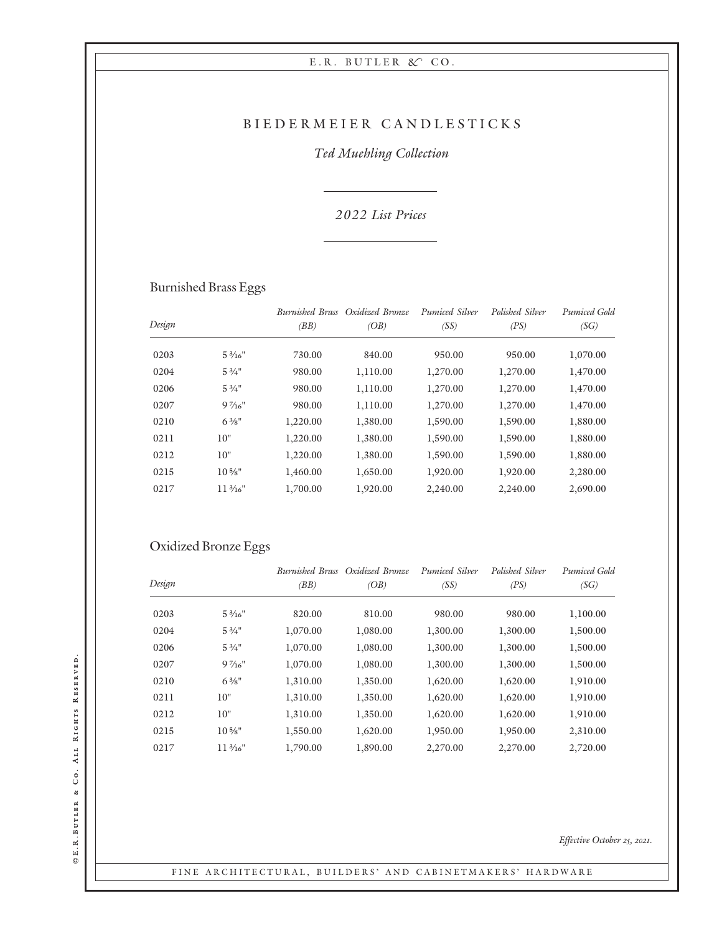## BIEDERMEIER CANDLESTICKS

## Ted Muehling Collection

### 2 022 List Prices

# Burnished Brass Eggs

| Design |                    | <b>Burnished Brass</b><br>(BB) | Oxidized Bronze<br>(OB) | Pumiced Silver<br>(SS) | Polished Silver<br>(PS) | Pumiced Gold<br>(SG) |
|--------|--------------------|--------------------------------|-------------------------|------------------------|-------------------------|----------------------|
|        |                    |                                |                         |                        |                         |                      |
| 0203   | $5\frac{3}{16}$ "  | 730.00                         | 840.00                  | 950.00                 | 950.00                  | 1,070.00             |
| 0204   | $5\frac{3}{4}$ "   | 980.00                         | 1,110.00                | 1,270.00               | 1,270.00                | 1,470.00             |
| 0206   | $5\frac{3}{4}$ "   | 980.00                         | 1,110.00                | 1,270.00               | 1,270.00                | 1,470.00             |
| 0207   | $9\frac{7}{16}$    | 980.00                         | 1,110.00                | 1,270.00               | 1,270.00                | 1,470.00             |
| 0210   | $6\frac{3}{8}$ "   | 1,220.00                       | 1,380.00                | 1,590.00               | 1,590.00                | 1,880.00             |
| 0211   | 10"                | 1,220.00                       | 1,380.00                | 1,590.00               | 1,590.00                | 1,880.00             |
| 0212   | 10"                | 1,220.00                       | 1,380.00                | 1,590.00               | 1,590.00                | 1,880.00             |
| 0215   | $10\frac{5}{8}$ "  | 1,460.00                       | 1,650.00                | 1,920.00               | 1,920.00                | 2,280.00             |
| 0217   | $11\frac{3}{16}$ " | 1,700.00                       | 1,920.00                | 2,240.00               | 2,240.00                | 2,690.00             |
|        |                    |                                |                         |                        |                         |                      |

## Oxidized Bronze Eggs

|        |                    |          | Burnished Brass Oxidized Bronze | Pumiced Silver | Polished Silver | Pumiced Gold |
|--------|--------------------|----------|---------------------------------|----------------|-----------------|--------------|
| Design |                    | (BB)     | (OB)                            | (SS)           | (PS)            | (SG)         |
| 0203   | $5\frac{3}{16}$ "  | 820.00   | 810.00                          | 980.00         | 980.00          | 1,100.00     |
| 0204   | $5\frac{3}{4}$ "   | 1,070.00 | 1,080.00                        | 1,300.00       | 1,300.00        | 1,500.00     |
| 0206   | $5\frac{3}{4}$ "   | 1,070.00 | 1,080.00                        | 1,300.00       | 1,300.00        | 1,500.00     |
| 0207   | $9\frac{7}{16}$ "  | 1,070.00 | 1,080.00                        | 1,300.00       | 1,300.00        | 1,500.00     |
| 0210   | $6\frac{3}{8}$ "   | 1,310.00 | 1,350.00                        | 1,620.00       | 1,620.00        | 1,910.00     |
| 0211   | 10"                | 1,310.00 | 1,350.00                        | 1,620.00       | 1,620.00        | 1,910.00     |
| 0212   | 10"                | 1,310.00 | 1,350.00                        | 1,620.00       | 1,620.00        | 1,910.00     |
| 0215   | $10\frac{5}{8}$ "  | 1,550.00 | 1,620.00                        | 1,950.00       | 1,950.00        | 2,310.00     |
| 0217   | $11\frac{3}{16}$ " | 1,790.00 | 1,890.00                        | 2,270.00       | 2,270.00        | 2,720.00     |

Effective October 25, 2021.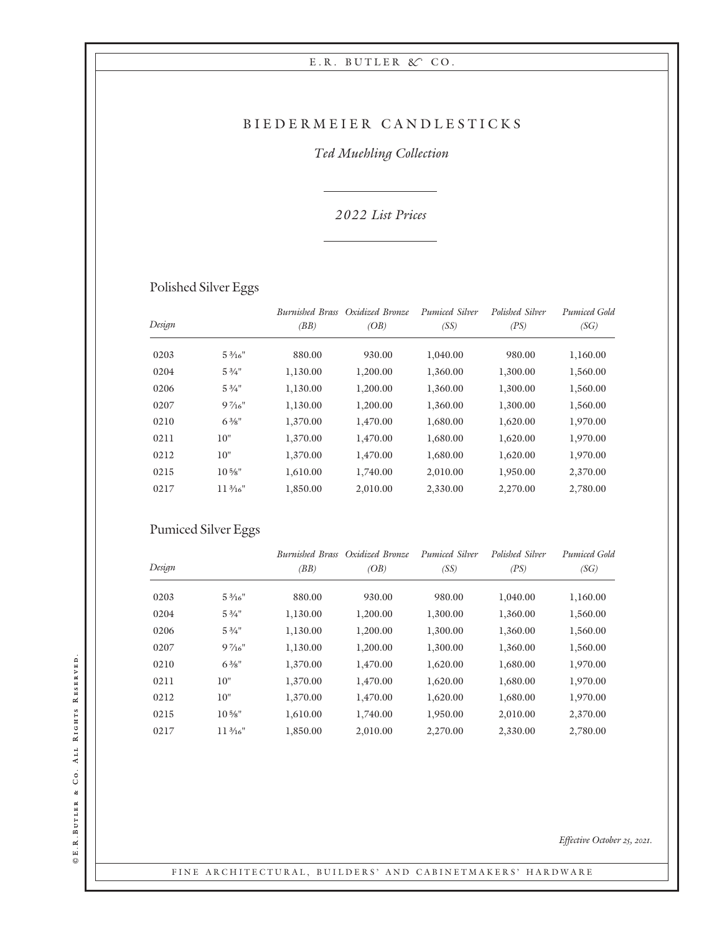## BIEDERMEIER CANDLESTICKS

## Ted Muehling Collection

### 2 022 List Prices

# Polished Silver Eggs

| Design |                    | <i>Burnished Brass</i><br>(BB) | Oxidized Bronze<br>(OB) | Pumiced Silver<br>(SS) | Polished Silver<br>(PS) | <b>Pumiced Gold</b><br>(SG) |
|--------|--------------------|--------------------------------|-------------------------|------------------------|-------------------------|-----------------------------|
| 0203   | $5\frac{3}{16}$ "  | 880.00                         | 930.00                  | 1,040.00               | 980.00                  | 1,160.00                    |
| 0204   | $5\frac{3}{4}$ "   | 1,130.00                       | 1,200.00                | 1,360.00               | 1,300.00                | 1,560.00                    |
| 0206   | $5\frac{3}{4}$ "   | 1,130.00                       | 1,200.00                | 1,360.00               | 1,300.00                | 1,560.00                    |
| 0207   | $9\frac{7}{16}$    | 1,130.00                       | 1,200.00                | 1,360.00               | 1,300.00                | 1,560.00                    |
| 0210   | $6\frac{3}{8}$ "   | 1,370.00                       | 1,470.00                | 1,680.00               | 1,620.00                | 1,970.00                    |
| 0211   | 10"                | 1,370.00                       | 1,470.00                | 1,680.00               | 1,620.00                | 1,970.00                    |
| 0212   | 10"                | 1,370.00                       | 1,470.00                | 1,680.00               | 1,620.00                | 1,970.00                    |
| 0215   | $10\frac{5}{8}$ "  | 1.610.00                       | 1,740.00                | 2,010.00               | 1,950.00                | 2,370.00                    |
| 0217   | $11\frac{3}{16}$ " | 1,850.00                       | 2,010.00                | 2,330.00               | 2,270.00                | 2,780.00                    |

## Pumiced Silver Eggs

|        |                   |          | <b>Burnished Brass</b> Oxidized Bronze | Pumiced Silver | Polished Silver | <b>Pumiced Gold</b> |
|--------|-------------------|----------|----------------------------------------|----------------|-----------------|---------------------|
| Design |                   | (BB)     | (OB)                                   | (SS)           | (PS)            | (SG)                |
| 0203   | $5\frac{3}{16}$ " | 880.00   | 930.00                                 | 980.00         | 1,040.00        | 1,160.00            |
| 0204   | $5\frac{3}{4}$ "  | 1,130.00 | 1,200.00                               | 1,300.00       | 1,360.00        | 1,560.00            |
| 0206   | $5\frac{3}{4}$ "  | 1,130.00 | 1,200.00                               | 1,300.00       | 1,360.00        | 1,560.00            |
| 0207   | $9\frac{7}{16}$ " | 1,130.00 | 1,200.00                               | 1,300.00       | 1,360.00        | 1,560.00            |
| 0210   | $6\frac{3}{8}$ "  | 1,370.00 | 1,470.00                               | 1,620.00       | 1,680.00        | 1,970.00            |
| 0211   | 10"               | 1,370.00 | 1,470.00                               | 1,620.00       | 1,680.00        | 1,970.00            |
| 0212   | 10"               | 1,370.00 | 1,470.00                               | 1,620.00       | 1,680.00        | 1,970.00            |
| 0215   | $10\frac{5}{8}$ " | 1.610.00 | 1,740.00                               | 1,950.00       | 2,010.00        | 2,370.00            |
| 0217   | $11\frac{3}{16}$  | 1,850.00 | 2,010.00                               | 2,270.00       | 2,330.00        | 2,780.00            |

©E.R.BUTLER & CO. ALL RIGHTS RESERVED. E.R.Butler & Co. All Rights Reserved.

Effective October 25, 2021.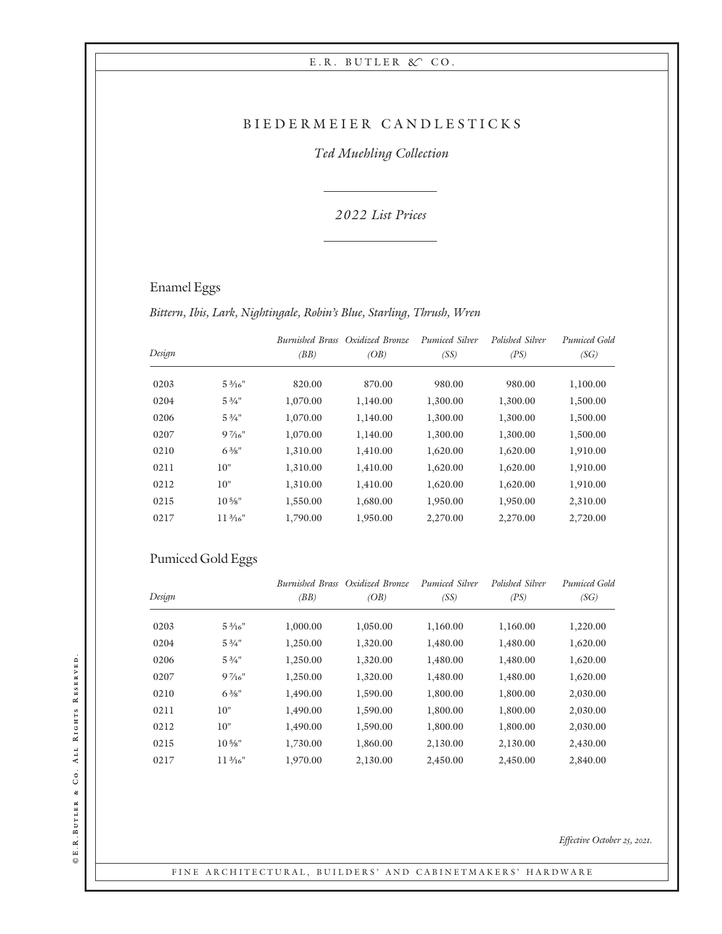#### BIEDERMEIER CANDLESTICKS

### Ted Muehling Collection

2 022 List Prices

## Enamel Eggs

Bittern, Ibis, Lark, Nightingale, Robin's Blue, Starling, Thrush, Wren

|        |                    |          | Burnished Brass Oxidized Bronze | Pumiced Silver | Polished Silver | Pumiced Gold |
|--------|--------------------|----------|---------------------------------|----------------|-----------------|--------------|
| Design |                    | (BB)     | (OB)                            | (SS)           | (PS)            | (SG)         |
| 0203   | $5\frac{3}{16}$ "  | 820.00   | 870.00                          | 980.00         | 980.00          | 1,100.00     |
| 0204   | $5\frac{3}{4}$ "   | 1,070.00 | 1,140.00                        | 1,300.00       | 1,300.00        | 1,500.00     |
| 0206   | $5\frac{3}{4}$ "   | 1,070.00 | 1,140.00                        | 1,300.00       | 1,300.00        | 1,500.00     |
| 0207   | $9\frac{7}{16}$ "  | 1,070.00 | 1,140.00                        | 1,300.00       | 1,300.00        | 1,500.00     |
| 0210   | $6\frac{3}{8}$ "   | 1,310.00 | 1,410.00                        | 1,620.00       | 1,620.00        | 1,910.00     |
| 0211   | 10"                | 1.310.00 | 1,410.00                        | 1,620.00       | 1,620.00        | 1,910.00     |
| 0212   | 10"                | 1,310.00 | 1,410.00                        | 1,620.00       | 1,620.00        | 1,910.00     |
| 0215   | $10\frac{5}{8}$ "  | 1,550.00 | 1,680.00                        | 1,950.00       | 1,950.00        | 2,310.00     |
| 0217   | $11\frac{3}{16}$ " | 1,790.00 | 1,950.00                        | 2,270.00       | 2,270.00        | 2,720.00     |

## Pumiced Gold Eggs

|        |                    |          | Burnished Brass Oxidized Bronze | Pumiced Silver | Polished Silver | Pumiced Gold |
|--------|--------------------|----------|---------------------------------|----------------|-----------------|--------------|
| Design |                    | (BB)     | (OB)                            | (SS)           | (PS)            | (SG)         |
| 0203   | $5\frac{3}{16}$ "  | 1,000.00 | 1,050.00                        | 1,160.00       | 1,160.00        | 1,220.00     |
| 0204   | $5\frac{3}{4}$ "   | 1,250.00 | 1,320.00                        | 1,480.00       | 1,480.00        | 1,620.00     |
| 0206   | $5\frac{3}{4}$ "   | 1,250.00 | 1,320.00                        | 1,480.00       | 1,480.00        | 1,620.00     |
| 0207   | $9\frac{7}{16}$ "  | 1,250.00 | 1,320.00                        | 1,480.00       | 1,480.00        | 1,620.00     |
| 0210   | $6\frac{3}{8}$ "   | 1,490.00 | 1,590.00                        | 1,800.00       | 1,800.00        | 2,030.00     |
| 0211   | 10"                | 1,490.00 | 1,590.00                        | 1,800.00       | 1,800.00        | 2,030.00     |
| 0212   | 10"                | 1,490.00 | 1,590.00                        | 1,800.00       | 1,800.00        | 2,030.00     |
| 0215   | $10\frac{5}{8}$ "  | 1,730.00 | 1,860.00                        | 2,130.00       | 2,130.00        | 2,430.00     |
| 0217   | $11\frac{3}{16}$ " | 1,970.00 | 2,130.00                        | 2,450.00       | 2,450.00        | 2,840.00     |

#### FINE ARCHITECTURAL, BUILDERS' AND CABINETMAKERS' HARDWARE

©E.R.BUTLER & CO. ALL RIGHTS RESERVED. E.R.Butler & Co. All Rights Reserved.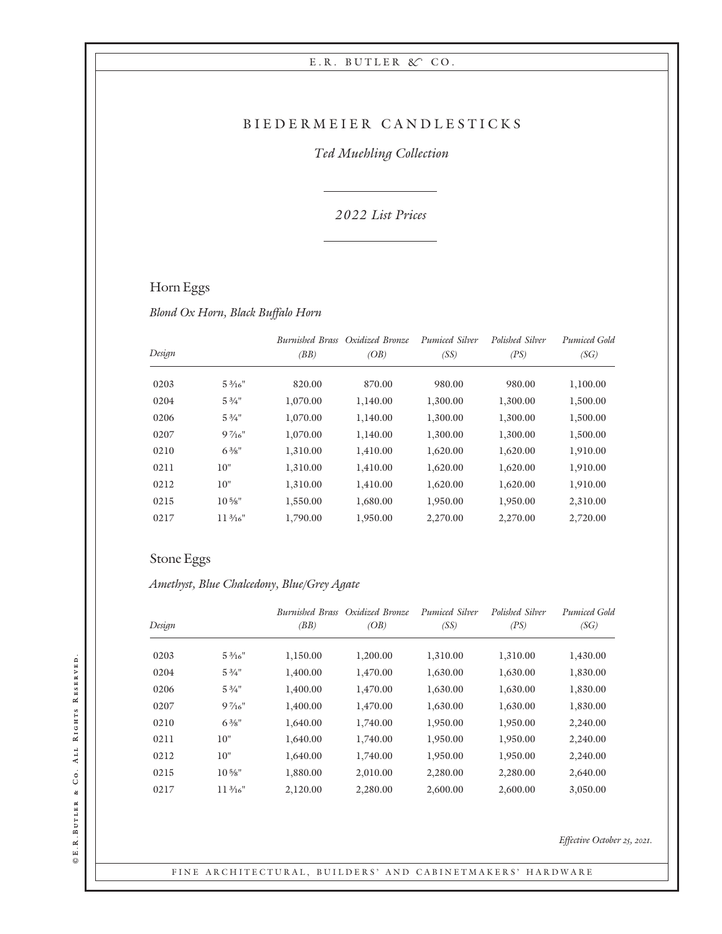#### BIEDERMEIER CANDLESTICKS

### Ted Muehling Collection

### 2 022 List Prices

## Horn Eggs

Blond Ox Horn, Black Buffalo Horn

|        |                   |          | <b>Burnished Brass</b> Oxidized Bronze | Pumiced Silver | Polished Silver | Pumiced Gold |
|--------|-------------------|----------|----------------------------------------|----------------|-----------------|--------------|
| Design |                   | (BB)     | (OB)                                   | (SS)           | (PS)            | (SG)         |
| 0203   | $5\frac{3}{16}$ " | 820.00   | 870.00                                 | 980.00         | 980.00          | 1,100.00     |
| 0204   | $5\frac{3}{4}$ "  | 1,070.00 | 1,140.00                               | 1,300.00       | 1,300.00        | 1,500.00     |
| 0206   | $5\frac{3}{4}$ "  | 1,070.00 | 1,140.00                               | 1,300.00       | 1,300.00        | 1,500.00     |
| 0207   | $9\frac{7}{16}$   | 1,070.00 | 1,140.00                               | 1,300.00       | 1,300.00        | 1,500.00     |
| 0210   | $6\frac{3}{8}$ "  | 1,310.00 | 1,410.00                               | 1,620.00       | 1,620.00        | 1,910.00     |
| 0211   | 10"               | 1,310.00 | 1,410.00                               | 1,620.00       | 1,620.00        | 1,910.00     |
| 0212   | 10"               | 1.310.00 | 1,410.00                               | 1,620.00       | 1,620.00        | 1,910.00     |
| 0215   | $10\frac{5}{8}$ " | 1,550.00 | 1,680.00                               | 1,950.00       | 1,950.00        | 2,310.00     |
| 0217   | $11\frac{3}{16}$  | 1,790.00 | 1,950.00                               | 2,270.00       | 2,270.00        | 2,720.00     |
|        |                   |          |                                        |                |                 |              |

## Stone Eggs

Amethyst, Blue Chalcedony, Blue/Grey Agate

| Design |                   | <b>Burnished Brass</b><br>(BB) | Oxidized Bronze<br>(OB) | Pumiced Silver<br>(SS) | Polished Silver<br>(PS) | Pumiced Gold<br>(SG) |
|--------|-------------------|--------------------------------|-------------------------|------------------------|-------------------------|----------------------|
| 0203   | $5\frac{3}{16}$ " | 1,150.00                       | 1,200.00                | 1,310.00               | 1,310.00                | 1,430.00             |
| 0204   | $5\frac{3}{4}$ "  | 1,400.00                       | 1,470.00                | 1,630.00               | 1,630.00                | 1,830.00             |
| 0206   | $5\frac{3}{4}$ "  | 1,400.00                       | 1,470.00                | 1,630.00               | 1,630.00                | 1,830.00             |
| 0207   | $9\frac{7}{16}$ " | 1,400.00                       | 1,470.00                | 1,630.00               | 1,630.00                | 1,830.00             |
| 0210   | $6\frac{3}{8}$ "  | 1,640.00                       | 1,740.00                | 1,950.00               | 1,950.00                | 2,240.00             |
| 0211   | 10"               | 1,640.00                       | 1,740.00                | 1,950.00               | 1,950.00                | 2,240.00             |
| 0212   | 10"               | 1,640.00                       | 1,740.00                | 1,950.00               | 1,950.00                | 2,240.00             |
| 0215   | $10\frac{5}{8}$ " | 1,880.00                       | 2,010.00                | 2,280.00               | 2,280.00                | 2,640.00             |
| 0217   | $11\frac{3}{16}$  | 2,120.00                       | 2,280.00                | 2,600.00               | 2,600.00                | 3,050.00             |

Effective October 25, 2021.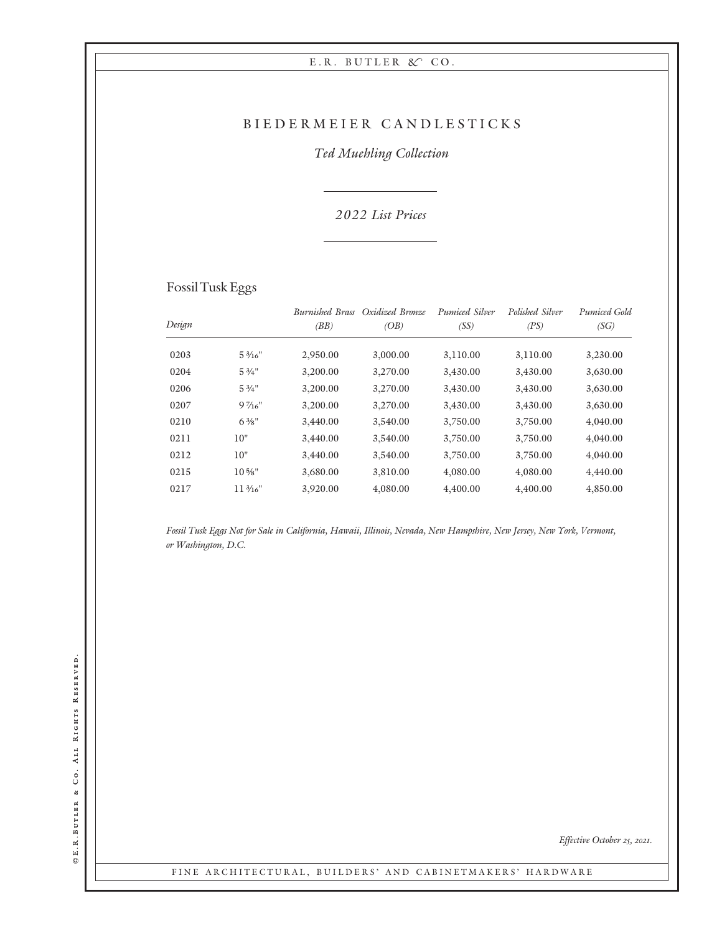### BIEDERMEIER CANDLESTICKS

### Ted Muehling Collection

### 2 022 List Prices

## Fossil Tusk Eggs

|        |                    | <b>Burnished Brass</b> | Oxidized Bronze | Pumiced Silver | Polished Silver | Pumiced Gold |
|--------|--------------------|------------------------|-----------------|----------------|-----------------|--------------|
| Design |                    | (BB)                   | (OB)            | (SS)           | (PS)            | (SG)         |
| 0203   | $5\frac{3}{16}$ "  | 2,950.00               | 3,000.00        | 3,110.00       | 3,110.00        | 3,230.00     |
| 0204   | $5\frac{3}{4}$ "   | 3,200.00               | 3,270.00        | 3,430.00       | 3,430.00        | 3,630.00     |
| 0206   | $5\frac{3}{4}$ "   | 3,200.00               | 3,270.00        | 3,430.00       | 3,430.00        | 3,630.00     |
| 0207   | $9\frac{7}{16}$    | 3,200.00               | 3,270.00        | 3,430.00       | 3,430.00        | 3,630.00     |
| 0210   | $6\frac{3}{8}$ "   | 3,440.00               | 3,540.00        | 3,750.00       | 3,750.00        | 4,040.00     |
| 0211   | 10"                | 3,440.00               | 3,540.00        | 3,750.00       | 3,750.00        | 4,040.00     |
| 0212   | 10"                | 3,440.00               | 3,540.00        | 3,750.00       | 3,750.00        | 4,040.00     |
| 0215   | $10\frac{5}{8}$ "  | 3,680.00               | 3,810.00        | 4,080.00       | 4,080.00        | 4,440.00     |
| 0217   | $11\frac{3}{16}$ " | 3,920.00               | 4,080.00        | 4,400.00       | 4,400.00        | 4,850.00     |

Fossil Tusk Eggs Not for Sale in California, Hawaii, Illinois, Nevada, New Hampshire, New Jersey, New York, Vermont, or Washington, D.C.

Effective October 25, 2021.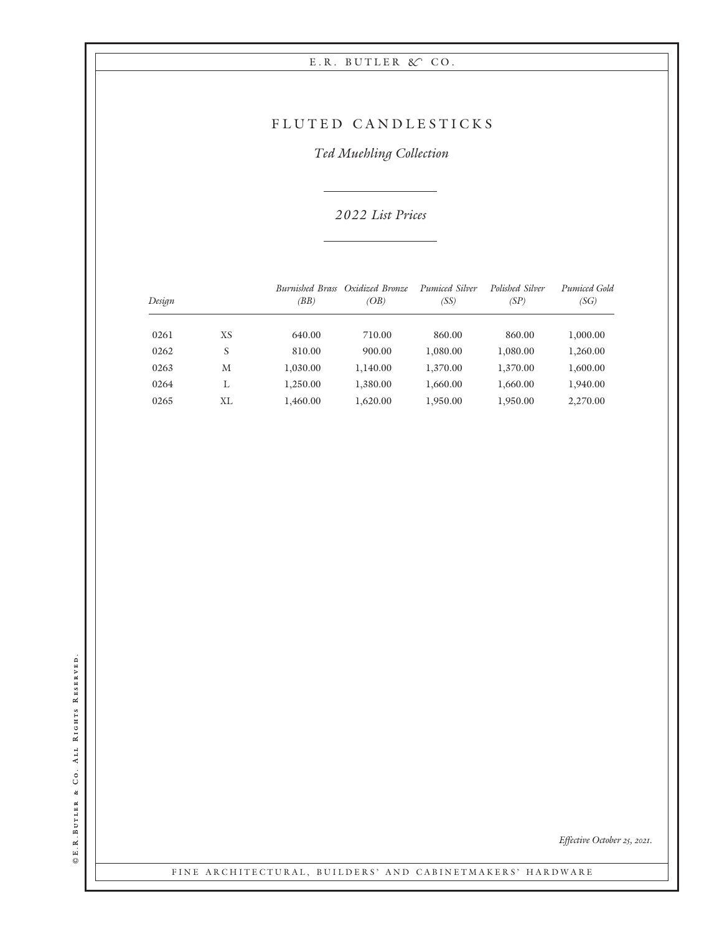## FLUTED CANDLESTICKS

Ted Muehling Collection

2 022 List Prices

| Design |    | <i>Burnished Brass</i><br>(BB) | Oxidized Bronze<br>(OB) | Pumiced Silver<br>(SS) | Polished Silver<br>(SP) | Pumiced Gold<br>(SG) |
|--------|----|--------------------------------|-------------------------|------------------------|-------------------------|----------------------|
|        |    |                                |                         |                        |                         |                      |
| 0261   | XS | 640.00                         | 710.00                  | 860.00                 | 860.00                  | 1,000.00             |
| 0262   | S  | 810.00                         | 900.00                  | 1,080.00               | 1,080.00                | 1,260.00             |
| 0263   | M  | 1,030.00                       | 1,140.00                | 1,370.00               | 1,370.00                | 1,600.00             |
| 0264   | L  | 1,250.00                       | 1,380.00                | 1.660.00               | 1,660.00                | 1,940.00             |
| 0265   | ΧL | 1,460.00                       | 1,620.00                | 1,950.00               | 1,950.00                | 2,270.00             |

©E.R.BUTLER & CO. ALL RIGHTS RESERVED. E.R.Butler & Co. All Rights Reserved.

Effective October 25, 2021.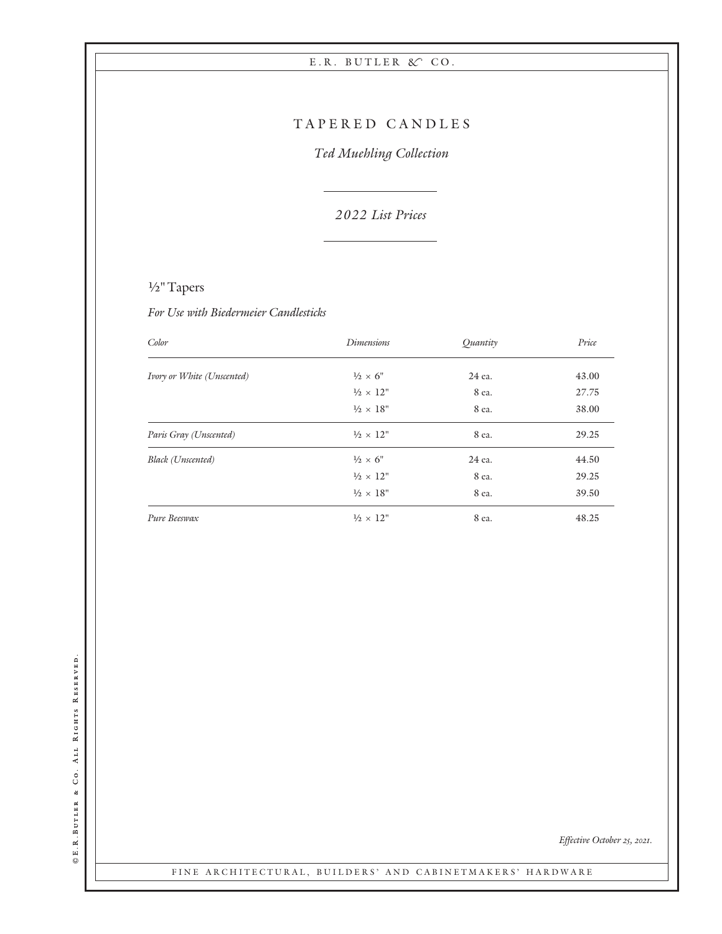## TAPERED CANDLES

Ted Muehling Collection

2 022 List Prices

# 1/2" Tapers

For Use with Biedermeier Candlesticks

| Color                      | <b>Dimensions</b>         | Ouantity | Price |
|----------------------------|---------------------------|----------|-------|
| Ivory or White (Unscented) | $\frac{1}{2} \times 6$ "  | 24 ea.   | 43.00 |
|                            | $\frac{1}{2} \times 12$ " | 8 ea.    | 27.75 |
|                            | $\frac{1}{2} \times 18$ " | 8 ea.    | 38.00 |
| Paris Gray (Unscented)     | $\frac{1}{2} \times 12$ " | 8 ea.    | 29.25 |
| Black (Unscented)          | $\frac{1}{2} \times 6$ "  | 24 ea.   | 44.50 |
|                            | $\frac{1}{2} \times 12$ " | 8 ea.    | 29.25 |
|                            | $\frac{1}{2} \times 18$ " | 8 ea.    | 39.50 |
| Pure Beeswax               | $\frac{1}{2} \times 12$ " | 8 ea.    | 48.25 |

©E.R.BUTLER & CO. ALL RIGHTS RESERVED. E.R.Butler & Co. All Rights Reserved.

Effective October 25, 2021.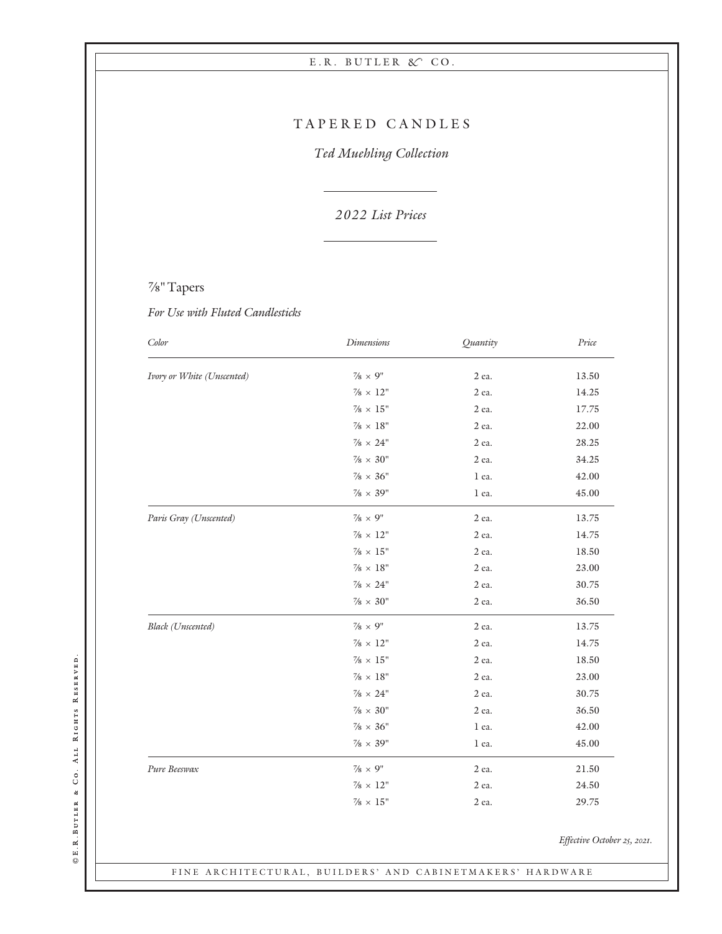## TAPERED CANDLES

Ted Muehling Collection

2 022 List Prices

## 7/8" Tapers

For Use with Fluted Candlesticks

| Color                      | <b>Dimensions</b>         | Quantity | Price |
|----------------------------|---------------------------|----------|-------|
| Ivory or White (Unscented) | $\frac{7}{8} \times 9$ "  | 2 ea.    | 13.50 |
|                            | $\frac{7}{8} \times 12$ " | 2 ea.    | 14.25 |
|                            | $\% \times 15"$           | 2 ea.    | 17.75 |
|                            | $\% \times 18"$           | 2 ea.    | 22.00 |
|                            | $\% \times 24"$           | 2 ea.    | 28.25 |
|                            | $\% \times 30^{\circ}$    | 2 ea.    | 34.25 |
|                            | $\% \times 36"$           | 1 ea.    | 42.00 |
|                            | $\frac{7}{8} \times 39$ " | 1 ea.    | 45.00 |
| Paris Gray (Unscented)     | $\% \times 9"$            | 2 ea.    | 13.75 |
|                            | $\frac{7}{8} \times 12"$  | 2 ea.    | 14.75 |
|                            | $\% \times 15"$           | 2 ea.    | 18.50 |
|                            | $\% \times 18"$           | 2 ea.    | 23.00 |
|                            | $\frac{7}{8} \times 24$ " | 2 ea.    | 30.75 |
|                            | $\% \times 30"$           | 2 ea.    | 36.50 |
| Black (Unscented)          | $\frac{7}{8} \times 9$ "  | 2 ea.    | 13.75 |
|                            | $\% \times 12"$           | 2 ea.    | 14.75 |
|                            | $\% \times 15"$           | 2 ea.    | 18.50 |
|                            | $\frac{7}{8} \times 18"$  | 2 ea.    | 23.00 |
|                            | $\frac{7}{8} \times 24$ " | 2 ea.    | 30.75 |
|                            | $\% \times 30"$           | 2 ea.    | 36.50 |
|                            | $\frac{7}{8} \times 36"$  | 1 ea.    | 42.00 |
|                            | $\frac{7}{8} \times 39$ " | 1 ea.    | 45.00 |
| Pure Beeswax               | $\frac{7}{8} \times 9$ "  | 2 ea.    | 21.50 |
|                            | $\% \times 12"$           | 2 ea.    | 24.50 |
|                            | $\frac{7}{8} \times 15$ " | 2 ea.    | 29.75 |

Effective October 25, 2021.

FINE ARCHITECTURAL, BUILDERS' AND CABINETMAKERS' HARDWARE

©E.R.BUTLER & CO. ALL RIGHTS RESERVED. E.R.Butler & Co. All Rights Reserved.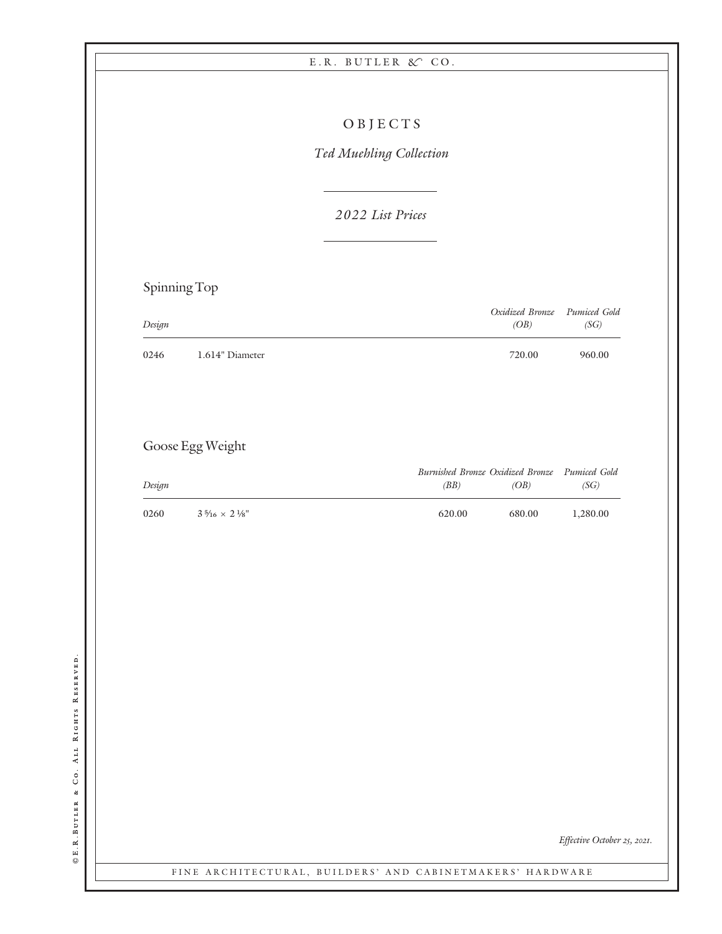|              |                         | OBJECTS                 |        |                                          |                             |
|--------------|-------------------------|-------------------------|--------|------------------------------------------|-----------------------------|
|              |                         | Ted Muehling Collection |        |                                          |                             |
|              |                         |                         |        |                                          |                             |
|              |                         | 2022 List Prices        |        |                                          |                             |
| Spinning Top |                         |                         |        |                                          |                             |
| Design       |                         |                         |        | Oxidized Bronze<br>(OB)                  | Pumiced Gold<br>(SG)        |
| 0246         | 1.614" Diameter         |                         |        | 720.00                                   | 960.00                      |
|              |                         |                         |        |                                          |                             |
|              | Goose Egg Weight        |                         |        |                                          |                             |
| Design       |                         |                         | (BB)   | Burnished Bronze Oxidized Bronze<br>(OB) | Pumiced Gold<br>(SG)        |
| 0260         | $3.5\% \times$ 2 $\%$ " |                         | 620.00 | 680.00                                   | 1,280.00                    |
|              |                         |                         |        |                                          |                             |
|              |                         |                         |        |                                          |                             |
|              |                         |                         |        |                                          |                             |
|              |                         |                         |        |                                          |                             |
|              |                         |                         |        |                                          |                             |
|              |                         |                         |        |                                          |                             |
|              |                         |                         |        |                                          |                             |
|              |                         |                         |        |                                          |                             |
|              |                         |                         |        |                                          |                             |
|              |                         |                         |        |                                          | Effective October 25, 2021. |

©E.R.BUTLER & CO. ALL RIGHTS RESERVED. E.R.Butler & Co. All Rights Reserved.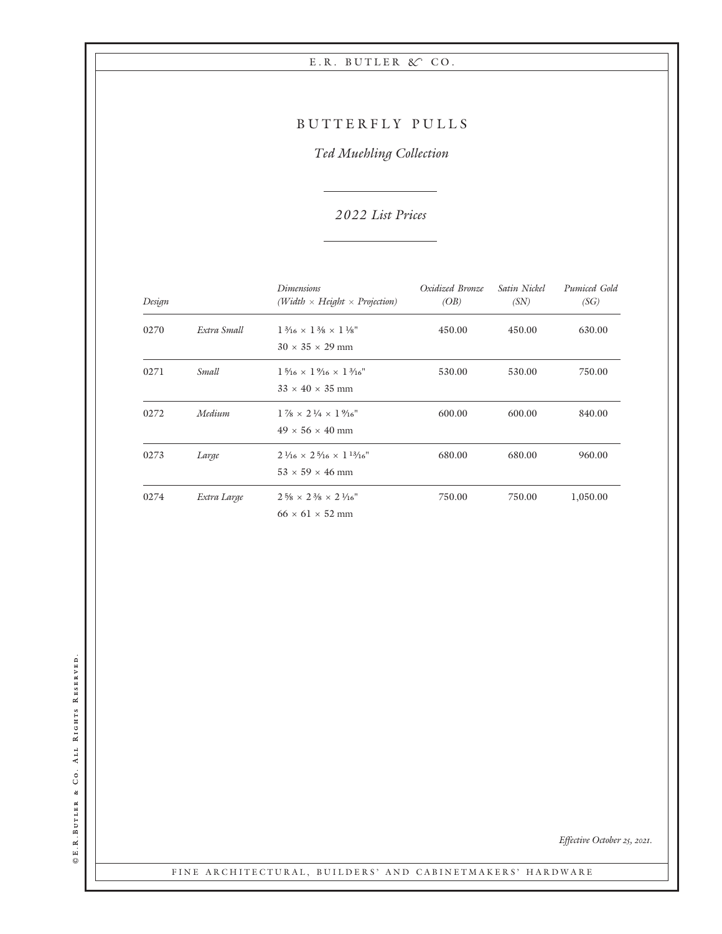## BUTTERFLY PULLS

Ted Muehling Collection

## 2 022 List Prices

| Design |             | <i>Dimensions</i><br>(Width $\times$ Height $\times$ Projection)                          | Oxidized Bronze<br>(OB) | Satin Nickel<br>(SN) | Pumiced Gold<br>(SG) |
|--------|-------------|-------------------------------------------------------------------------------------------|-------------------------|----------------------|----------------------|
| 0270   | Extra Small | $1\frac{3}{16} \times 1\frac{3}{8} \times 1\frac{1}{8}$ "<br>$30 \times 35 \times 29$ mm  | 450.00                  | 450.00               | 630.00               |
| 0271   | Small       | $1\frac{5}{16} \times 1\frac{9}{16} \times 1\frac{3}{16}$<br>$33 \times 40 \times 35$ mm  | 530.00                  | 530.00               | 750.00               |
| 0272   | Medium      | $1\frac{7}{8} \times 2\frac{1}{4} \times 1\frac{9}{16}$ "<br>$49 \times 56 \times 40$ mm  | 600.00                  | 600.00               | 840.00               |
| 0273   | Large       | $2\frac{1}{16} \times 2\frac{5}{16} \times 1\frac{13}{16}$<br>$53 \times 59 \times 46$ mm | 680.00                  | 680.00               | 960.00               |
| 0274   | Extra Large | $2\frac{5}{8} \times 2\frac{3}{8} \times 2\frac{1}{16}$ "<br>$66 \times 61 \times 52$ mm  | 750.00                  | 750.00               | 1,050.00             |

©E.R.BUTLER & CO. ALL RIGHTS RESERVED. E.R.Butler & Co. All Rights Reserved.

Effective October 25, 2021.